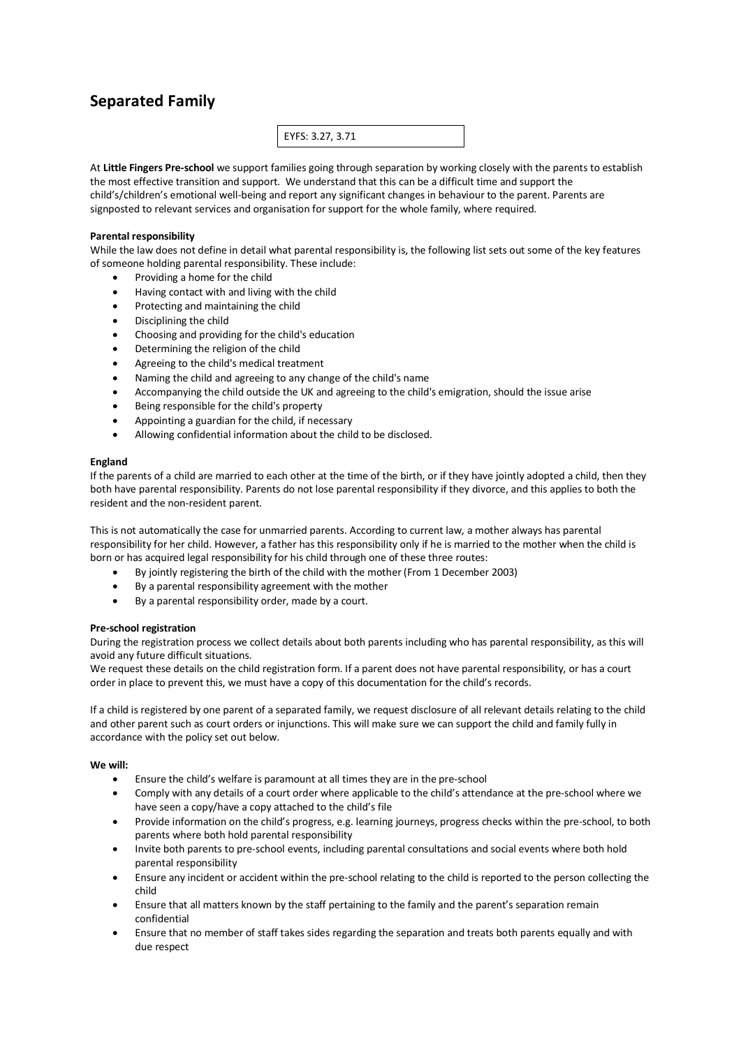# **Separated Family**

| EYFS: 3.27, 3.71 |  |  |
|------------------|--|--|
|------------------|--|--|

At **Little Fingers Pre-school** we support families going through separation by working closely with the parents to establish the most effective transition and support. We understand that this can be a difficult time and support the child's/children's emotional well-being and report any significant changes in behaviour to the parent. Parents are signposted to relevant services and organisation for support for the whole family, where required.

## **Parental responsibility**

While the law does not define in detail what parental responsibility is, the following list sets out some of the key features of someone holding parental responsibility. These include:

- Providing a home for the child
- Having contact with and living with the child
- Protecting and maintaining the child
- Disciplining the child
- Choosing and providing for the child's education
- Determining the religion of the child
- Agreeing to the child's medical treatment
- Naming the child and agreeing to any change of the child's name
- Accompanying the child outside the UK and agreeing to the child's emigration, should the issue arise
- Being responsible for the child's property
- Appointing a guardian for the child, if necessary
- Allowing confidential information about the child to be disclosed.

### **England**

If the parents of a child are married to each other at the time of the birth, or if they have jointly adopted a child, then they both have parental responsibility. Parents do not lose parental responsibility if they divorce, and this applies to both the resident and the non-resident parent.

This is not automatically the case for unmarried parents. According to current law, a mother always has parental responsibility for her child. However, a father has this responsibility only if he is married to the mother when the child is born or has acquired legal responsibility for his child through one of these three routes:

- By jointly registering the birth of the child with the mother (From 1 December 2003)
- By a parental responsibility agreement with the mother
- By a parental responsibility order, made by a court.

### **Pre-school registration**

During the registration process we collect details about both parents including who has parental responsibility, as this will avoid any future difficult situations.

We request these details on the child registration form. If a parent does not have parental responsibility, or has a court order in place to prevent this, we must have a copy of this documentation for the child's records.

If a child is registered by one parent of a separated family, we request disclosure of all relevant details relating to the child and other parent such as court orders or injunctions. This will make sure we can support the child and family fully in accordance with the policy set out below.

### **We will:**

- Ensure the child's welfare is paramount at all times they are in the pre-school
- Comply with any details of a court order where applicable to the child's attendance at the pre-school where we have seen a copy/have a copy attached to the child's file
- Provide information on the child's progress, e.g. learning journeys, progress checks within the pre-school, to both parents where both hold parental responsibility
- Invite both parents to pre-school events, including parental consultations and social events where both hold parental responsibility
- Ensure any incident or accident within the pre-school relating to the child is reported to the person collecting the child
- Ensure that all matters known by the staff pertaining to the family and the parent's separation remain confidential
- Ensure that no member of staff takes sides regarding the separation and treats both parents equally and with due respect